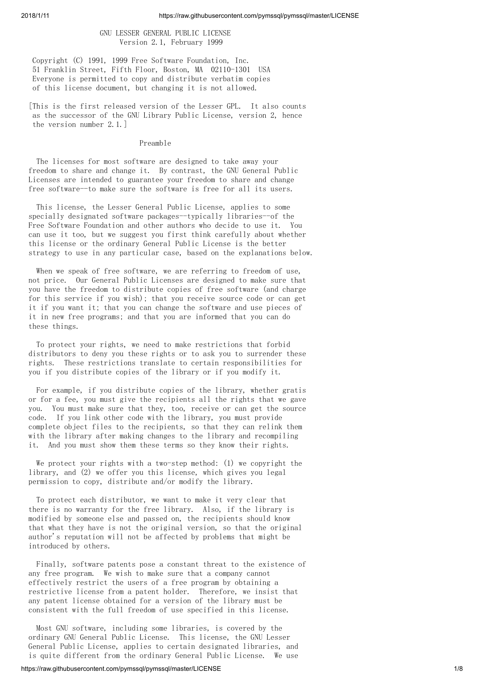# GNU LESSER GENERAL PUBLIC LICENSE Version 2.1, February 1999

Copyright (C) 1991, 1999 Free Software Foundation, Inc. 51 Franklin Street, Fifth Floor, Boston, MA 02110-1301 USA Everyone is permitted to copy and distribute verbatim copies of this license document, but changing it is not allowed.

[This is the first released version of the Lesser GPL. It also counts as the successor of the GNU Library Public License, version 2, hence the version number 2.1.]

### Preamble

The licenses for most software are designed to take away your freedom to share and change it. By contrast, the GNU General Public Licenses are intended to guarantee your freedom to share and change free software--to make sure the software is free for all its users.

This license, the Lesser General Public License, applies to some specially designated software packages--typically libraries--of the Free Software Foundation and other authors who decide to use it. You can use it too, but we suggest you first think carefully about whether this license or the ordinary General Public License is the better strategy to use in any particular case, based on the explanations below.

When we speak of free software, we are referring to freedom of use, not price. Our General Public Licenses are designed to make sure that you have the freedom to distribute copies of free software (and charge for this service if you wish); that you receive source code or can get it if you want it; that you can change the software and use pieces of it in new free programs; and that you are informed that you can do these things.

To protect your rights, we need to make restrictions that forbid distributors to deny you these rights or to ask you to surrender these rights. These restrictions translate to certain responsibilities for you if you distribute copies of the library or if you modify it.

For example, if you distribute copies of the library, whether gratis or for a fee, you must give the recipients all the rights that we gave you. You must make sure that they, too, receive or can get the source code. If you link other code with the library, you must provide complete object files to the recipients, so that they can relink them with the library after making changes to the library and recompiling it. And you must show them these terms so they know their rights.

We protect your rights with a two-step method: (1) we copyright the library, and (2) we offer you this license, which gives you legal permission to copy, distribute and/or modify the library.

To protect each distributor, we want to make it very clear that there is no warranty for the free library. Also, if the library is modified by someone else and passed on, the recipients should know that what they have is not the original version, so that the original author's reputation will not be affected by problems that might be introduced by others.

Finally, software patents pose a constant threat to the existence of any free program. We wish to make sure that a company cannot effectively restrict the users of a free program by obtaining a restrictive license from a patent holder. Therefore, we insist that any patent license obtained for a version of the library must be consistent with the full freedom of use specified in this license.

Most GNU software, including some libraries, is covered by the ordinary GNU General Public License. This license, the GNU Lesser General Public License, applies to certain designated libraries, and is quite different from the ordinary General Public License. We use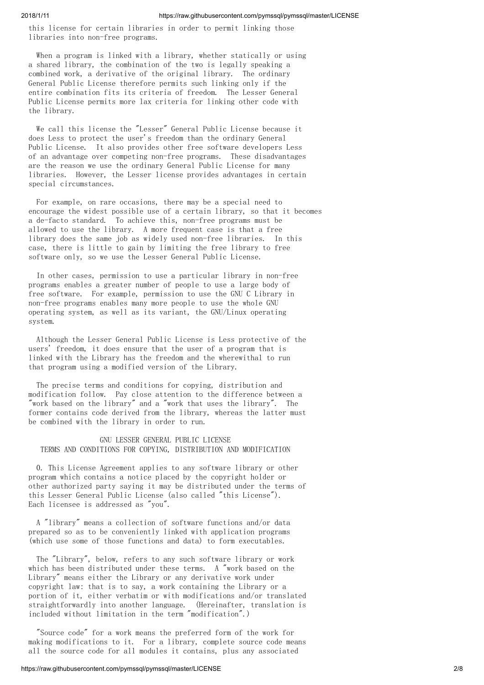this license for certain libraries in order to permit linking those libraries into non-free programs.

When a program is linked with a library, whether statically or using a shared library, the combination of the two is legally speaking a combined work, a derivative of the original library. The ordinary General Public License therefore permits such linking only if the entire combination fits its criteria of freedom. The Lesser General Public License permits more lax criteria for linking other code with the library.

We call this license the "Lesser" General Public License because it does Less to protect the user's freedom than the ordinary General Public License. It also provides other free software developers Less of an advantage over competing non-free programs. These disadvantages are the reason we use the ordinary General Public License for many libraries. However, the Lesser license provides advantages in certain special circumstances.

For example, on rare occasions, there may be a special need to encourage the widest possible use of a certain library, so that it becomes a de-facto standard. To achieve this, non-free programs must be allowed to use the library. A more frequent case is that a free library does the same job as widely used non-free libraries. In this case, there is little to gain by limiting the free library to free software only, so we use the Lesser General Public License.

In other cases, permission to use a particular library in non-free programs enables a greater number of people to use a large body of free software. For example, permission to use the GNU C Library in non-free programs enables many more people to use the whole GNU operating system, as well as its variant, the GNU/Linux operating system.

Although the Lesser General Public License is Less protective of the users' freedom, it does ensure that the user of a program that is linked with the Library has the freedom and the wherewithal to run that program using a modified version of the Library.

The precise terms and conditions for copying, distribution and modification follow. Pay close attention to the difference between a "work based on the library" and a "work that uses the library". The former contains code derived from the library, whereas the latter must be combined with the library in order to run.

# GNU LESSER GENERAL PUBLIC LICENSE TERMS AND CONDITIONS FOR COPYING, DISTRIBUTION AND MODIFICATION

0. This License Agreement applies to any software library or other program which contains a notice placed by the copyright holder or other authorized party saying it may be distributed under the terms of this Lesser General Public License (also called "this License"). Each licensee is addressed as "you".

A "library" means a collection of software functions and/or data prepared so as to be conveniently linked with application programs (which use some of those functions and data) to form executables.

The "Library", below, refers to any such software library or work which has been distributed under these terms. A "work based on the Library" means either the Library or any derivative work under copyright law: that is to say, a work containing the Library or a portion of it, either verbatim or with modifications and/or translated straightforwardly into another language. (Hereinafter, translation is included without limitation in the term "modification".)

"Source code" for a work means the preferred form of the work for making modifications to it. For a library, complete source code means all the source code for all modules it contains, plus any associated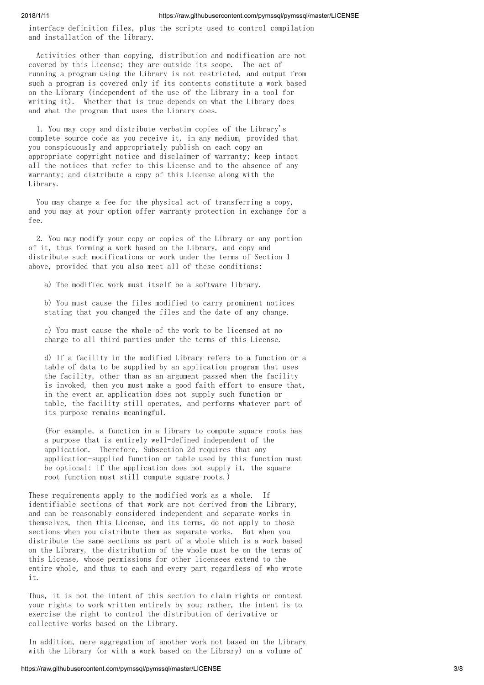interface definition files, plus the scripts used to control compilation and installation of the library.

Activities other than copying, distribution and modification are not covered by this License; they are outside its scope. The act of running a program using the Library is not restricted, and output from such a program is covered only if its contents constitute a work based on the Library (independent of the use of the Library in a tool for writing it). Whether that is true depends on what the Library does and what the program that uses the Library does.

1. You may copy and distribute verbatim copies of the Library's complete source code as you receive it, in any medium, provided that you conspicuously and appropriately publish on each copy an appropriate copyright notice and disclaimer of warranty; keep intact all the notices that refer to this License and to the absence of any warranty; and distribute a copy of this License along with the Library.

You may charge a fee for the physical act of transferring a copy, and you may at your option offer warranty protection in exchange for a fee.

2. You may modify your copy or copies of the Library or any portion of it, thus forming a work based on the Library, and copy and distribute such modifications or work under the terms of Section 1 above, provided that you also meet all of these conditions:

a) The modified work must itself be a software library.

b) You must cause the files modified to carry prominent notices stating that you changed the files and the date of any change.

c) You must cause the whole of the work to be licensed at no charge to all third parties under the terms of this License.

d) If a facility in the modified Library refers to a function or a table of data to be supplied by an application program that uses the facility, other than as an argument passed when the facility is invoked, then you must make a good faith effort to ensure that, in the event an application does not supply such function or table, the facility still operates, and performs whatever part of its purpose remains meaningful.

(For example, a function in a library to compute square roots has a purpose that is entirely well-defined independent of the application. Therefore, Subsection 2d requires that any application-supplied function or table used by this function must be optional: if the application does not supply it, the square root function must still compute square roots.)

These requirements apply to the modified work as a whole. If identifiable sections of that work are not derived from the Library, and can be reasonably considered independent and separate works in themselves, then this License, and its terms, do not apply to those sections when you distribute them as separate works. But when you distribute the same sections as part of a whole which is a work based on the Library, the distribution of the whole must be on the terms of this License, whose permissions for other licensees extend to the entire whole, and thus to each and every part regardless of who wrote it.

Thus, it is not the intent of this section to claim rights or contest your rights to work written entirely by you; rather, the intent is to exercise the right to control the distribution of derivative or collective works based on the Library.

In addition, mere aggregation of another work not based on the Library with the Library (or with a work based on the Library) on a volume of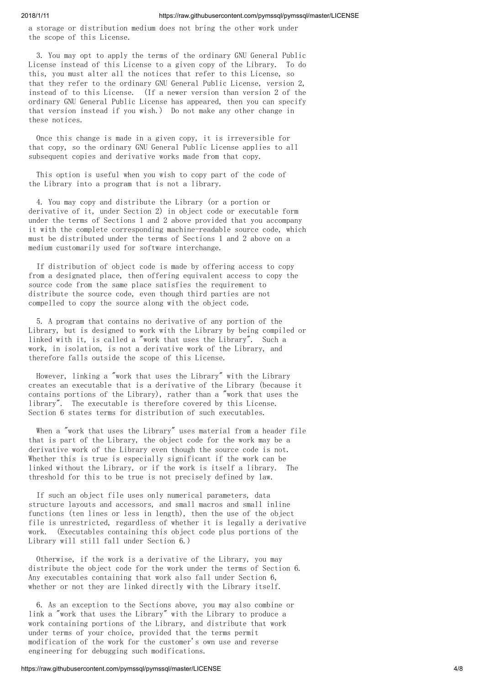a storage or distribution medium does not bring the other work under the scope of this License.

3. You may opt to apply the terms of the ordinary GNU General Public License instead of this License to a given copy of the Library. To do this, you must alter all the notices that refer to this License, so that they refer to the ordinary GNU General Public License, version 2, instead of to this License. (If a newer version than version 2 of the ordinary GNU General Public License has appeared, then you can specify that version instead if you wish.) Do not make any other change in these notices.

Once this change is made in a given copy, it is irreversible for that copy, so the ordinary GNU General Public License applies to all subsequent copies and derivative works made from that copy.

This option is useful when you wish to copy part of the code of the Library into a program that is not a library.

4. You may copy and distribute the Library (or a portion or derivative of it, under Section 2) in object code or executable form under the terms of Sections 1 and 2 above provided that you accompany it with the complete corresponding machine-readable source code, which must be distributed under the terms of Sections 1 and 2 above on a medium customarily used for software interchange.

If distribution of object code is made by offering access to copy from a designated place, then offering equivalent access to copy the source code from the same place satisfies the requirement to distribute the source code, even though third parties are not compelled to copy the source along with the object code.

5. A program that contains no derivative of any portion of the Library, but is designed to work with the Library by being compiled or linked with it, is called a "work that uses the Library". Such a work, in isolation, is not a derivative work of the Library, and therefore falls outside the scope of this License.

However, linking a "work that uses the Library" with the Library creates an executable that is a derivative of the Library (because it contains portions of the Library), rather than a "work that uses the library". The executable is therefore covered by this License. Section 6 states terms for distribution of such executables.

When a "work that uses the Library" uses material from a header file that is part of the Library, the object code for the work may be a derivative work of the Library even though the source code is not. Whether this is true is especially significant if the work can be linked without the Library, or if the work is itself a library. The threshold for this to be true is not precisely defined by law.

If such an object file uses only numerical parameters, data structure layouts and accessors, and small macros and small inline functions (ten lines or less in length), then the use of the object file is unrestricted, regardless of whether it is legally a derivative work. (Executables containing this object code plus portions of the Library will still fall under Section 6.)

Otherwise, if the work is a derivative of the Library, you may distribute the object code for the work under the terms of Section 6. Any executables containing that work also fall under Section 6, whether or not they are linked directly with the Library itself.

6. As an exception to the Sections above, you may also combine or link a "work that uses the Library" with the Library to produce a work containing portions of the Library, and distribute that work under terms of your choice, provided that the terms permit modification of the work for the customer's own use and reverse engineering for debugging such modifications.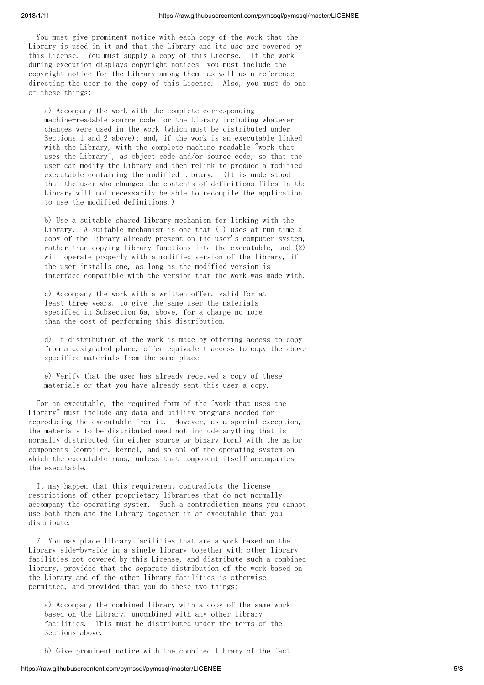You must give prominent notice with each copy of the work that the Library is used in it and that the Library and its use are covered by this License. You must supply a copy of this License. If the work during execution displays copyright notices, you must include the copyright notice for the Library among them, as well as a reference directing the user to the copy of this License. Also, you must do one of these things:

a) Accompany the work with the complete corresponding machine-readable source code for the Library including whatever changes were used in the work (which must be distributed under Sections 1 and 2 above); and, if the work is an executable linked with the Library, with the complete machine-readable "work that uses the Library", as object code and/or source code, so that the user can modify the Library and then relink to produce a modified executable containing the modified Library. (It is understood that the user who changes the contents of definitions files in the Library will not necessarily be able to recompile the application to use the modified definitions.)

b) Use a suitable shared library mechanism for linking with the Library. A suitable mechanism is one that (1) uses at run time a copy of the library already present on the user's computer system, rather than copying library functions into the executable, and (2) will operate properly with a modified version of the library, if the user installs one, as long as the modified version is interface-compatible with the version that the work was made with.

c) Accompany the work with a written offer, valid for at least three years, to give the same user the materials specified in Subsection 6a, above, for a charge no more than the cost of performing this distribution.

d) If distribution of the work is made by offering access to copy from a designated place, offer equivalent access to copy the above specified materials from the same place.

e) Verify that the user has already received a copy of these materials or that you have already sent this user a copy.

For an executable, the required form of the "work that uses the Library" must include any data and utility programs needed for reproducing the executable from it. However, as a special exception, the materials to be distributed need not include anything that is normally distributed (in either source or binary form) with the major components (compiler, kernel, and so on) of the operating system on which the executable runs, unless that component itself accompanies the executable.

It may happen that this requirement contradicts the license restrictions of other proprietary libraries that do not normally accompany the operating system. Such a contradiction means you cannot use both them and the Library together in an executable that you distribute.

7. You may place library facilities that are a work based on the Library side-by-side in a single library together with other library facilities not covered by this License, and distribute such a combined library, provided that the separate distribution of the work based on the Library and of the other library facilities is otherwise permitted, and provided that you do these two things:

a) Accompany the combined library with a copy of the same work based on the Library, uncombined with any other library facilities. This must be distributed under the terms of the Sections above.

b) Give prominent notice with the combined library of the fact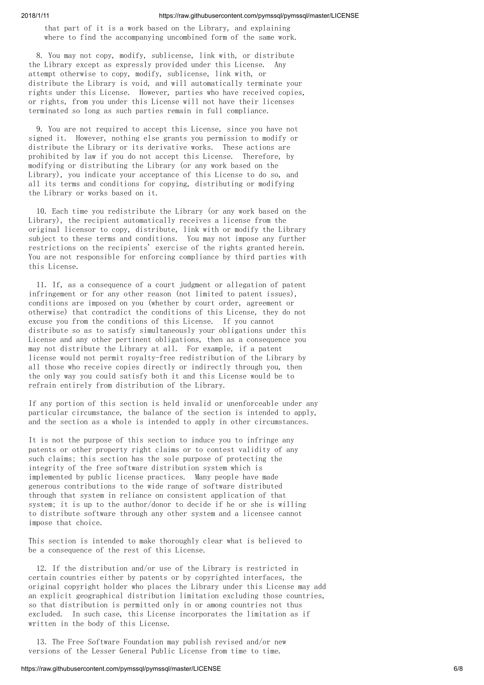that part of it is a work based on the Library, and explaining where to find the accompanying uncombined form of the same work.

8. You may not copy, modify, sublicense, link with, or distribute the Library except as expressly provided under this License. Any attempt otherwise to copy, modify, sublicense, link with, or distribute the Library is void, and will automatically terminate your rights under this License. However, parties who have received copies, or rights, from you under this License will not have their licenses terminated so long as such parties remain in full compliance.

9. You are not required to accept this License, since you have not signed it. However, nothing else grants you permission to modify or distribute the Library or its derivative works. These actions are prohibited by law if you do not accept this License. Therefore, by modifying or distributing the Library (or any work based on the Library), you indicate your acceptance of this License to do so, and all its terms and conditions for copying, distributing or modifying the Library or works based on it.

10. Each time you redistribute the Library (or any work based on the Library), the recipient automatically receives a license from the original licensor to copy, distribute, link with or modify the Library subject to these terms and conditions. You may not impose any further restrictions on the recipients' exercise of the rights granted herein. You are not responsible for enforcing compliance by third parties with this License.

11. If, as a consequence of a court judgment or allegation of patent infringement or for any other reason (not limited to patent issues), conditions are imposed on you (whether by court order, agreement or otherwise) that contradict the conditions of this License, they do not excuse you from the conditions of this License. If you cannot distribute so as to satisfy simultaneously your obligations under this License and any other pertinent obligations, then as a consequence you may not distribute the Library at all. For example, if a patent license would not permit royalty-free redistribution of the Library by all those who receive copies directly or indirectly through you, then the only way you could satisfy both it and this License would be to refrain entirely from distribution of the Library.

If any portion of this section is held invalid or unenforceable under any particular circumstance, the balance of the section is intended to apply, and the section as a whole is intended to apply in other circumstances.

It is not the purpose of this section to induce you to infringe any patents or other property right claims or to contest validity of any such claims; this section has the sole purpose of protecting the integrity of the free software distribution system which is implemented by public license practices. Many people have made generous contributions to the wide range of software distributed through that system in reliance on consistent application of that system; it is up to the author/donor to decide if he or she is willing to distribute software through any other system and a licensee cannot impose that choice.

This section is intended to make thoroughly clear what is believed to be a consequence of the rest of this License.

12. If the distribution and/or use of the Library is restricted in certain countries either by patents or by copyrighted interfaces, the original copyright holder who places the Library under this License may add an explicit geographical distribution limitation excluding those countries, so that distribution is permitted only in or among countries not thus excluded. In such case, this License incorporates the limitation as if written in the body of this License.

13. The Free Software Foundation may publish revised and/or new versions of the Lesser General Public License from time to time.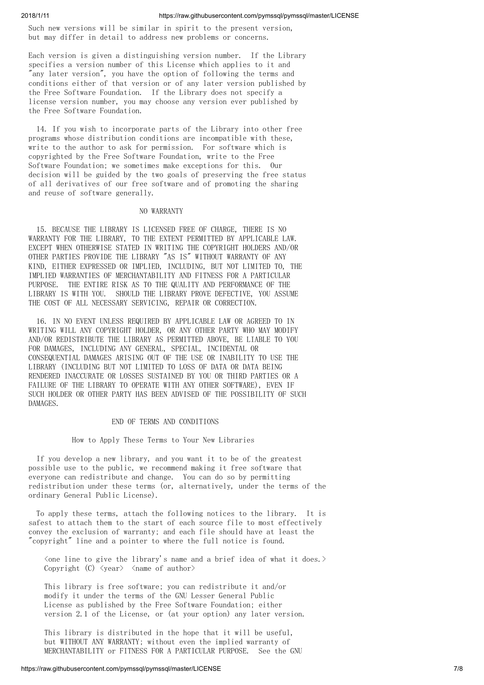Such new versions will be similar in spirit to the present version, but may differ in detail to address new problems or concerns.

Each version is given a distinguishing version number. If the Library specifies a version number of this License which applies to it and "any later version", you have the option of following the terms and conditions either of that version or of any later version published by the Free Software Foundation. If the Library does not specify a license version number, you may choose any version ever published by the Free Software Foundation.

14. If you wish to incorporate parts of the Library into other free programs whose distribution conditions are incompatible with these, write to the author to ask for permission. For software which is copyrighted by the Free Software Foundation, write to the Free Software Foundation; we sometimes make exceptions for this. Our decision will be guided by the two goals of preserving the free status of all derivatives of our free software and of promoting the sharing and reuse of software generally.

#### NO WARRANTY

15. BECAUSE THE LIBRARY IS LICENSED FREE OF CHARGE, THERE IS NO WARRANTY FOR THE LIBRARY, TO THE EXTENT PERMITTED BY APPLICABLE LAW. EXCEPT WHEN OTHERWISE STATED IN WRITING THE COPYRIGHT HOLDERS AND/OR OTHER PARTIES PROVIDE THE LIBRARY "AS IS" WITHOUT WARRANTY OF ANY KIND, EITHER EXPRESSED OR IMPLIED, INCLUDING, BUT NOT LIMITED TO, THE IMPLIED WARRANTIES OF MERCHANTABILITY AND FITNESS FOR A PARTICULAR PURPOSE. THE ENTIRE RISK AS TO THE QUALITY AND PERFORMANCE OF THE LIBRARY IS WITH YOU. SHOULD THE LIBRARY PROVE DEFECTIVE, YOU ASSUME THE COST OF ALL NECESSARY SERVICING, REPAIR OR CORRECTION.

16. IN NO EVENT UNLESS REQUIRED BY APPLICABLE LAW OR AGREED TO IN WRITING WILL ANY COPYRIGHT HOLDER, OR ANY OTHER PARTY WHO MAY MODIFY AND/OR REDISTRIBUTE THE LIBRARY AS PERMITTED ABOVE, BE LIABLE TO YOU FOR DAMAGES, INCLUDING ANY GENERAL, SPECIAL, INCIDENTAL OR CONSEQUENTIAL DAMAGES ARISING OUT OF THE USE OR INABILITY TO USE THE LIBRARY (INCLUDING BUT NOT LIMITED TO LOSS OF DATA OR DATA BEING RENDERED INACCURATE OR LOSSES SUSTAINED BY YOU OR THIRD PARTIES OR A FAILURE OF THE LIBRARY TO OPERATE WITH ANY OTHER SOFTWARE), EVEN IF SUCH HOLDER OR OTHER PARTY HAS BEEN ADVISED OF THE POSSIBILITY OF SUCH DAMAGES.

#### END OF TERMS AND CONDITIONS

How to Apply These Terms to Your New Libraries

If you develop a new library, and you want it to be of the greatest possible use to the public, we recommend making it free software that everyone can redistribute and change. You can do so by permitting redistribution under these terms (or, alternatively, under the terms of the ordinary General Public License).

To apply these terms, attach the following notices to the library. It is safest to attach them to the start of each source file to most effectively convey the exclusion of warranty; and each file should have at least the "copyright" line and a pointer to where the full notice is found.

 $\zeta$ one line to give the library's name and a brief idea of what it does. Copyright (C)  $\langle year \rangle$   $\langle name \ of \ author \rangle$ 

This library is free software; you can redistribute it and/or modify it under the terms of the GNU Lesser General Public License as published by the Free Software Foundation; either version 2.1 of the License, or (at your option) any later version.

This library is distributed in the hope that it will be useful, but WITHOUT ANY WARRANTY; without even the implied warranty of MERCHANTABILITY or FITNESS FOR A PARTICULAR PURPOSE. See the GNU